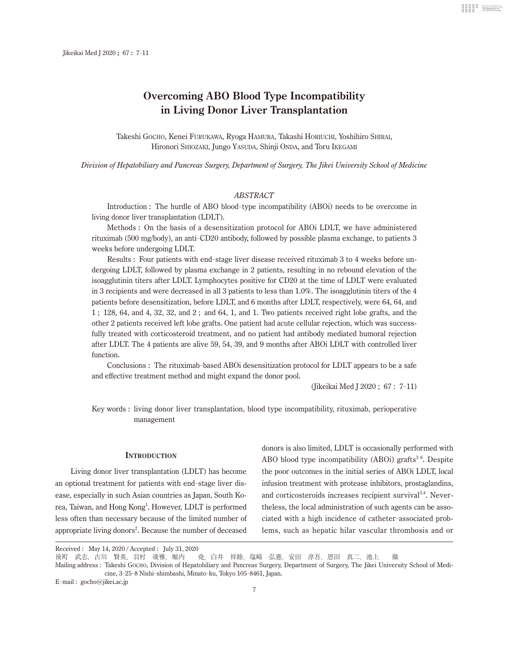# **Overcoming ABO Blood Type Incompatibility in Living Donor Liver Transplantation**

Takeshi Gocho, Kenei Furukawa, Ryoga Hamura, Takashi Horiuchi, Yoshihiro Shirai, Hironori Shiozaki, Jungo Yasuda, Shinji Onda, and Toru Ikegami

*Division of Hepatobiliary and Pancreas Surgery, Department of Surgery, The Jikei University School of Medicine*

# *ABSTRACT*

Introduction : The hurdle of ABO blood-type incompatibility (ABOi) needs to be overcome in living donor liver transplantation (LDLT).

Methods : On the basis of a desensitization protocol for ABOi LDLT, we have administered rituximab (500 mg/body), an anti-CD20 antibody, followed by possible plasma exchange, to patients 3 weeks before undergoing LDLT.

Results : Four patients with end-stage liver disease received rituximab 3 to 4 weeks before undergoing LDLT, followed by plasma exchange in 2 patients, resulting in no rebound elevation of the isoagglutinin titers after LDLT. Lymphocytes positive for CD20 at the time of LDLT were evaluated in 3 recipients and were decreased in all 3 patients to less than 1.0%. The isoagglutinin titers of the 4 patients before desensitization, before LDLT, and 6 months after LDLT, respectively, were 64, 64, and 1 ; 128, 64, and 4, 32, 32, and 2 ; and 64, 1, and 1. Two patients received right lobe grafts, and the other 2 patients received left lobe grafts. One patient had acute cellular rejection, which was successfully treated with corticosteroid treatment, and no patient had antibody mediated humoral rejection after LDLT. The 4 patients are alive 59, 54, 39, and 9 months after ABOi LDLT with controlled liver function.

Conclusions : The rituximab-based ABOi desensitization protocol for LDLT appears to be a safe and effective treatment method and might expand the donor pool.

(Jikeikai Med J 2020 ; 67 : 7 11)

DN : com= 日付 : 2021.06.15 14:01:44 +09'00'

Key words : living donor liver transplantation, blood type incompatibility, rituximab, perioperative management

#### **INTRODUCTION**

Living donor liver transplantation (LDLT) has become an optional treatment for patients with end-stage liver disease, especially in such Asian countries as Japan, South Korea, Taiwan, and Hong Kong<sup>1</sup>. However, LDLT is performed less often than necessary because of the limited number of appropriate living donors<sup>2</sup>. Because the number of deceased

donors is also limited, LDLT is occasionally performed with ABO blood type incompatibility (ABOi) grafts<sup>3-6</sup>. Despite the poor outcomes in the initial series of ABOi LDLT, local infusion treatment with protease inhibitors, prostaglandins, and corticosteroids increases recipient survival<sup>3,4</sup>. Nevertheless, the local administration of such agents can be associated with a high incidence of catheter-associated problems, such as hepatic hilar vascular thrombosis and or

Mailing address : Takeshi Gocho, Division of Hepatobiliary and Pancreas Surgery, Department of Surgery, The Jikei University School of Medicine, 3 25 8 Nishi-shimbashi, Minato-ku, Tokyo 105 8461, Japan.

E-mail : gocho@jikei.ac.jp

Received : May 14, 2020 / Accepted : July 31, 2020

後町 武志, 古川 賢英, 羽村 凌雅, 堀内 克, 白井 祥睦, 塩崎 弘憲, 安田 淳吾, 恩田 真二, 池上 徹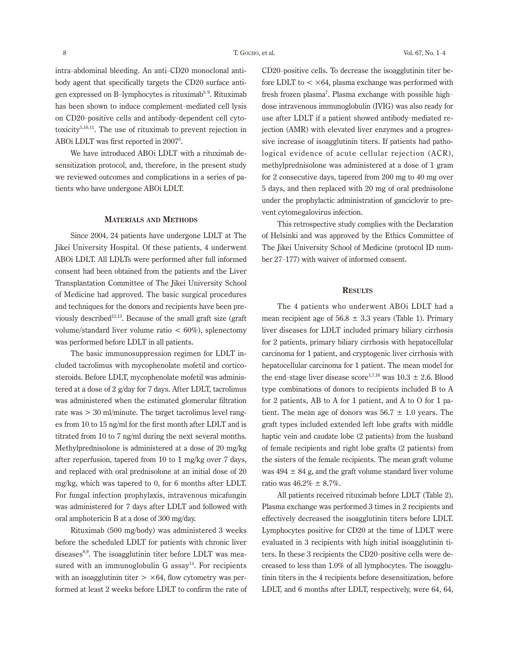intra-abdominal bleeding. An anti-CD20 monoclonal antibody agent that specifically targets the CD20 surface antigen expressed on B-lymphocytes is rituximab<sup>5-9</sup>. Rituximab has been shown to induce complement-mediated cell lysis on CD20 positive cells and antibody-dependent cell cytotoxicity<sup>5,10,11</sup>. The use of rituximab to prevent rejection in ABOi LDLT was first reported in 20075 .

We have introduced ABOi LDLT with a rituximab desensitization protocol, and, therefore, in the present study we reviewed outcomes and complications in a series of patients who have undergone ABOi LDLT.

## **Materials and Methods**

Since 2004, 24 patients have undergone LDLT at The Jikei University Hospital. Of these patients, 4 underwent ABOi LDLT. All LDLTs were performed after full informed consent had been obtained from the patients and the Liver Transplantation Committee of The Jikei University School of Medicine had approved. The basic surgical procedures and techniques for the donors and recipients have been previously described<sup>12,13</sup>. Because of the small graft size (graft) volume/standard liver volume ratio  $< 60\%$ ), splenectomy was performed before LDLT in all patients.

The basic immunosuppression regimen for LDLT included tacrolimus with mycophenolate mofetil and corticosteroids. Before LDLT, mycophenolate mofetil was administered at a dose of 2 g/day for 7 days. After LDLT, tacrolimus was administered when the estimated glomerular filtration rate was > 30 ml/minute. The target tacrolimus level ranges from 10 to 15 ng/ml for the first month after LDLT and is titrated from 10 to 7 ng/ml during the next several months. Methylprednisolone is administered at a dose of 20 mg/kg after reperfusion, tapered from 10 to 1 mg/kg over 7 days, and replaced with oral prednisolone at an initial dose of 20 mg/kg, which was tapered to 0, for 6 months after LDLT. For fungal infection prophylaxis, intravenous micafungin was administered for 7 days after LDLT and followed with oral amphotericin B at a dose of 300 mg/day.

Rituximab (500 mg/body) was administered 3 weeks before the scheduled LDLT for patients with chronic liver diseases $8,9$ . The isoagglutinin titer before LDLT was measured with an immunoglobulin G assay<sup>14</sup>. For recipients with an isoagglutinin titer  $> \times 64$ , flow cytometry was performed at least 2 weeks before LDLT to confirm the rate of

CD20 positive cells. To decrease the isoagglutinin titer before LDLT to  $\langle \times 64 \rangle$ , plasma exchange was performed with fresh frozen plasma<sup>7</sup>. Plasma exchange with possible highdose intravenous immunoglobulin (IVIG) was also ready for use after LDLT if a patient showed antibody-mediated rejection (AMR) with elevated liver enzymes and a progressive increase of isoagglutinin titers. If patients had pathological evidence of acute cellular rejection (ACR), methylprednisolone was administered at a dose of 1 gram for 2 consecutive days, tapered from 200 mg to 40 mg over 5 days, and then replaced with 20 mg of oral prednisolone under the prophylactic administration of ganciclovir to prevent cytomegalovirus infection.

This retrospective study complies with the Declaration of Helsinki and was approved by the Ethics Committee of The Jikei University School of Medicine (protocol ID number 27 177) with waiver of informed consent.

### **Results**

The 4 patients who underwent ABOi LDLT had a mean recipient age of  $56.8 \pm 3.3$  years (Table 1). Primary liver diseases for LDLT included primary biliary cirrhosis for 2 patients, primary biliary cirrhosis with hepatocellular carcinoma for 1 patient, and cryptogenic liver cirrhosis with hepatocellular carcinoma for 1 patient. The mean model for the end-stage liver disease score<sup>1,7,16</sup> was  $10.3 \pm 2.6$ . Blood type combinations of donors to recipients included B to A for 2 patients, AB to A for 1 patient, and A to O for 1 patient. The mean age of donors was  $56.7 \pm 1.0$  years. The graft types included extended left lobe grafts with middle haptic vein and caudate lobe (2 patients) from the husband of female recipients and right lobe grafts (2 patients) from the sisters of the female recipients. The mean graft volume was  $494 \pm 84$  g, and the graft volume standard liver volume ratio was  $46.2\% \pm 8.7\%$ .

All patients received rituximab before LDLT (Table 2). Plasma exchange was performed 3 times in 2 recipients and effectively decreased the isoagglutinin titers before LDLT. Lymphocytes positive for CD20 at the time of LDLT were evaluated in 3 recipients with high initial isoagglutinin titers. In these 3 recipients the CD20 positive cells were decreased to less than 1.0% of all lymphocytes. The isoagglutinin titers in the 4 recipients before desensitization, before LDLT, and 6 months after LDLT, respectively, were 64, 64,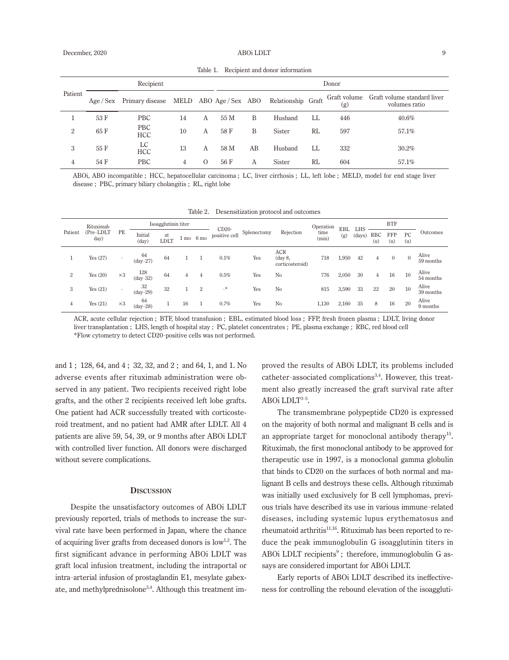| Patient        |           | Donor                    |    |                  |                      |    |                    |    |                     |                                              |
|----------------|-----------|--------------------------|----|------------------|----------------------|----|--------------------|----|---------------------|----------------------------------------------|
|                | Age / Sex | Primary disease          |    |                  | MELD ABO Age/Sex ABO |    | Relationship Graft |    | Graft volume<br>(g) | Graft volume standard liver<br>volumes ratio |
|                | 53 F      | <b>PBC</b>               | 14 | А                | 55 M                 | B  | Husband            | LL | 446                 | $40.6\%$                                     |
| $\overline{2}$ | 65 F      | <b>PBC</b><br><b>HCC</b> | 10 | A                | 58 F                 | B  | Sister             | RL | 597                 | 57.1%                                        |
| 3              | 55 F      | LC<br><b>HCC</b>         | 13 | A                | 58 M                 | AВ | Husband            | LL | 332                 | 30.2%                                        |
| 4              | 54 F      | <b>PBC</b>               | 4  | $\left( \right)$ | 56 F                 | Α  | Sister             | RL | 604                 | 57.1%                                        |

Table 1. Recipient and donor information

ABOi, ABO incompatible ; HCC, hepatocellular carcinoma ; LC, liver cirrhosis ; LL, left lobe ; MELD, model for end stage liver disease ; PBC, primary biliary cholangitis ; RL, right lobe

| Patient | Rituximab<br>(Pre-LDLT<br>day) | PE         | Isoagglutinin titer |            |    |                     |                          |             | Operation                                | <b>EBL</b>    | LHS   | <b>BTF</b> |            |              |           |                    |
|---------|--------------------------------|------------|---------------------|------------|----|---------------------|--------------------------|-------------|------------------------------------------|---------------|-------|------------|------------|--------------|-----------|--------------------|
|         |                                |            | Initial<br>(day)    | at<br>LDLT |    | $1 \text{ mo}$ 6 mo | $CD20-$<br>positive cell | Splenectomy | Rejection                                | time<br>(min) | (g)   | (days)     | RBC<br>(u) | FFP<br>(u)   | PC<br>(u) | Outcomes           |
|         | Yes $(27)$                     |            | 64<br>$(dav-27)$    | 64         |    |                     | $0.1\%$                  | Yes         | <b>ACR</b><br>(day 8,<br>corticosteroid) | 718           | 1,950 | 42         | 4          | $\mathbf{0}$ | $\theta$  | Alive<br>59 months |
| 2       | Yes $(20)$                     | $\times 3$ | 128<br>$(dav-32)$   | 64         | 4  | 4                   | $0.5\%$                  | Yes         | No                                       | 776           | 2,050 | 30         | 4          | 16           | 10        | Alive<br>54 months |
| 3       | Yes $(21)$                     | $\sim$     | 32<br>$(dav-29)$    | 32         |    | $\overline{2}$      | -*                       | Yes         | No                                       | 815           | 3,590 | 33         | 22         | 20           | 10        | Alive<br>39 months |
| 4       | Yes(21)                        | $\times 3$ | 64<br>$(dav-28)$    |            | 16 |                     | 0.7%                     | Yes         | No                                       | 1,130         | 2,160 | 35         | 8          | 16           | 20        | Alive<br>9 months  |

ACR, acute cellular rejection ; BTF, blood transfusion ; EBL, estimated blood loss ; FFP, fresh frozen plasma ; LDLT, living donor liver transplantation ; LHS, length of hospital stay ; PC, platelet concentrates ; PE, plasma exchange ; RBC, red blood cell \*Flow cytometry to detect CD20 positive cells was not performed.

and 1 ; 128, 64, and 4 ; 32, 32, and 2 ; and 64, 1, and 1. No adverse events after rituximab administration were observed in any patient. Two recipients received right lobe grafts, and the other 2 recipients received left lobe grafts. One patient had ACR successfully treated with corticosteroid treatment, and no patient had AMR after LDLT. All 4 patients are alive 59, 54, 39, or 9 months after ABOi LDLT with controlled liver function. All donors were discharged without severe complications.

# **Discussion**

Despite the unsatisfactory outcomes of ABOi LDLT previously reported, trials of methods to increase the survival rate have been performed in Japan, where the chance of acquiring liver grafts from deceased donors is  $\text{low}^{1,2}$ . The first significant advance in performing ABOi LDLT was graft local infusion treatment, including the intraportal or intra-arterial infusion of prostaglandin E1, mesylate gabexate, and methylprednisolone<sup>3,4</sup>. Although this treatment improved the results of ABOi LDLT, its problems included catheter-associated complications<sup>3,4</sup>. However, this treatment also greatly increased the graft survival rate after ABOi LDLT<sup>3-5</sup>.

The transmembrane polypeptide CD20 is expressed on the majority of both normal and malignant B cells and is an appropriate target for monoclonal antibody therapy<sup>15</sup>. Rituximab, the first monoclonal antibody to be approved for therapeutic use in 1997, is a monoclonal gamma globulin that binds to CD20 on the surfaces of both normal and malignant B cells and destroys these cells. Although rituximab was initially used exclusively for B cell lymphomas, previous trials have described its use in various immune-related diseases, including systemic lupus erythematosus and rheumatoid arthritis<sup>11,16</sup>. Rituximab has been reported to reduce the peak immunoglobulin G isoagglutinin titers in ABOI LDLT recipients<sup>9</sup>; therefore, immunoglobulin G assays are considered important for ABOi LDLT.

Early reports of ABOi LDLT described its ineffectiveness for controlling the rebound elevation of the isoaggluti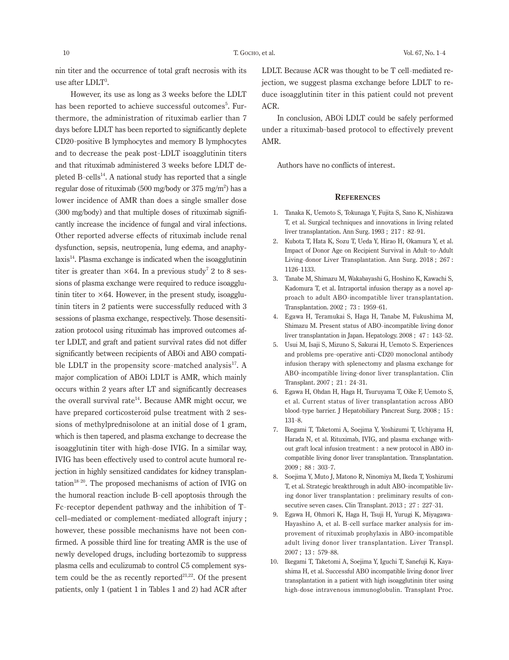nin titer and the occurrence of total graft necrosis with its use after LDLT<sup>3</sup> .

However, its use as long as 3 weeks before the LDLT has been reported to achieve successful outcomes<sup>5</sup>. Furthermore, the administration of rituximab earlier than 7 days before LDLT has been reported to significantly deplete CD20 positive B lymphocytes and memory B lymphocytes and to decrease the peak post-LDLT isoagglutinin titers and that rituximab administered 3 weeks before LDLT depleted B-cells<sup>14</sup>. A national study has reported that a single regular dose of rituximab (500 mg/body or 375 mg/m $^2$ ) has a lower incidence of AMR than does a single smaller dose (300 mg/body) and that multiple doses of rituximab significantly increase the incidence of fungal and viral infections. Other reported adverse effects of rituximab include renal dysfunction, sepsis, neutropenia, lung edema, and anaphy $laxis<sup>14</sup>$ . Plasma exchange is indicated when the isoagglutinin titer is greater than  $\times 64$ . In a previous study<sup>7</sup> 2 to 8 sessions of plasma exchange were required to reduce isoagglutinin titer to  $\times 64$ . However, in the present study, isoagglutinin titers in 2 patients were successfully reduced with 3 sessions of plasma exchange, respectively. Those desensitization protocol using rituximab has improved outcomes after LDLT, and graft and patient survival rates did not differ significantly between recipients of ABOi and ABO compatible LDLT in the propensity score-matched analysis<sup>17</sup>. A major complication of ABOi LDLT is AMR, which mainly occurs within 2 years after LT and significantly decreases the overall survival rate<sup>14</sup>. Because AMR might occur, we have prepared corticosteroid pulse treatment with 2 sessions of methylprednisolone at an initial dose of 1 gram, which is then tapered, and plasma exchange to decrease the isoagglutinin titer with high-dose IVIG. In a similar way, IVIG has been effectively used to control acute humoral rejection in highly sensitized candidates for kidney transplantation<sup>18-20</sup>. The proposed mechanisms of action of IVIG on the humoral reaction include B-cell apoptosis through the Fc-receptor dependent pathway and the inhibition of Tcell–mediated or complement-mediated allograft injury ; however, these possible mechanisms have not been confirmed. A possible third line for treating AMR is the use of newly developed drugs, including bortezomib to suppress plasma cells and eculizumab to control C5 complement system could be the as recently reported $^{21,22}$ . Of the present patients, only 1 (patient 1 in Tables 1 and 2) had ACR after

LDLT. Because ACR was thought to be T cell-mediated rejection, we suggest plasma exchange before LDLT to reduce isoagglutinin titer in this patient could not prevent ACR.

In conclusion, ABOi LDLT could be safely performed under a rituximab-based protocol to effectively prevent AMR.

Authors have no conflicts of interest.

#### **References**

- 1. Tanaka K, Uemoto S, Tokunaga Y, Fujita S, Sano K, Nishizawa T, et al. Surgical techniques and innovations in living related liver transplantation. Ann Surg. 1993 ; 217 : 82 91.
- 2. Kubota T, Hata K, Sozu T, Ueda Y, Hirao H, Okamura Y, et al. Impact of Donor Age on Recipient Survival in Adult-to-Adult Living-donor Liver Transplantation. Ann Surg. 2018 ; 267 : 1126 1133.
- 3. Tanabe M, Shimazu M, Wakabayashi G, Hoshino K, Kawachi S, Kadomura T, et al. Intraportal infusion therapy as a novel approach to adult ABO-incompatible liver transplantation. Transplantation. 2002 ; 73 : 1959 61.
- 4. Egawa H, Teramukai S, Haga H, Tanabe M, Fukushima M, Shimazu M. Present status of ABO-incompatible living donor liver transplantation in Japan. Hepatology. 2008 ; 47 : 143 52.
- 5. Usui M, Isaji S, Mizuno S, Sakurai H, Uemoto S. Experiences and problems pre-operative anti-CD20 monoclonal antibody infusion therapy with splenectomy and plasma exchange for ABO-incompatible living-donor liver transplantation. Clin Transplant. 2007 ; 21 : 24 31.
- 6. Egawa H, Ohdan H, Haga H, Tsuruyama T, Oike F, Uemoto S, et al. Current status of liver transplantation across ABO blood-type barrier. J Hepatobiliary Pancreat Surg. 2008 ; 15 : 131 8.
- 7. Ikegami T, Taketomi A, Soejima Y, Yoshizumi T, Uchiyama H, Harada N, et al. Rituximab, IVIG, and plasma exchange without graft local infusion treatment : a new protocol in ABO incompatible living donor liver transplantation. Transplantation. 2009 ; 88 : 303 7.
- 8. Soejima Y, Muto J, Matono R, Ninomiya M, Ikeda T, Yoshizumi T, et al. Strategic breakthrough in adult ABO-incompatible living donor liver transplantation : preliminary results of consecutive seven cases. Clin Transplant. 2013 ; 27 : 227-31.
- 9. Egawa H, Ohmori K, Haga H, Tsuji H, Yurugi K, Miyagawa-Hayashino A, et al. B-cell surface marker analysis for improvement of rituximab prophylaxis in ABO-incompatible adult living donor liver transplantation. Liver Transpl. 2007 ; 13 : 579 88.
- 10. Ikegami T, Taketomi A, Soejima Y, Iguchi T, Sanefuji K, Kayashima H, et al. Successful ABO incompatible living donor liver transplantation in a patient with high isoagglutinin titer using high-dose intravenous immunoglobulin. Transplant Proc.